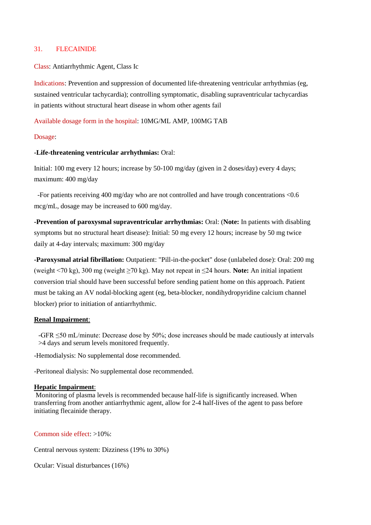# 31. FLECAINIDE

Class: Antiarrhythmic Agent, Class Ic

Indications: Prevention and suppression of documented life-threatening ventricular arrhythmias (eg, sustained ventricular tachycardia); controlling symptomatic, disabling supraventricular tachycardias in patients without structural heart disease in whom other agents fail

Available dosage form in the hospital: 10MG/ML AMP, 100MG TAB

## Dosage:

# **-Life-threatening ventricular arrhythmias:** Oral:

Initial: 100 mg every 12 hours; increase by 50-100 mg/day (given in 2 doses/day) every 4 days; maximum: 400 mg/day

 -For patients receiving 400 mg/day who are not controlled and have trough concentrations <0.6 mcg/mL, dosage may be increased to 600 mg/day.

**-Prevention of paroxysmal supraventricular arrhythmias:** Oral: (**Note:** In patients with disabling symptoms but no structural heart disease): Initial: 50 mg every 12 hours; increase by 50 mg twice daily at 4-day intervals; maximum: 300 mg/day

**-Paroxysmal atrial fibrillation:** Outpatient: "Pill-in-the-pocket" dose (unlabeled dose): Oral: 200 mg (weight <70 kg), 300 mg (weight ≥70 kg). May not repeat in ≤24 hours. **Note:** An initial inpatient conversion trial should have been successful before sending patient home on this approach. Patient must be taking an AV nodal-blocking agent (eg, beta-blocker, nondihydropyridine calcium channel blocker) prior to initiation of antiarrhythmic.

## **Renal Impairment**:

-GFR ≤50 mL/minute: Decrease dose by 50%; dose increases should be made cautiously at intervals >4 days and serum levels monitored frequently.

-Hemodialysis: No supplemental dose recommended.

-Peritoneal dialysis: No supplemental dose recommended.

## **Hepatic Impairment**:

Monitoring of plasma levels is recommended because half-life is significantly increased. When transferring from another antiarrhythmic agent, allow for 2-4 half-lives of the agent to pass before initiating flecainide therapy.

Common side effect: >10%:

Central nervous system: Dizziness (19% to 30%)

Ocular: Visual disturbances (16%)